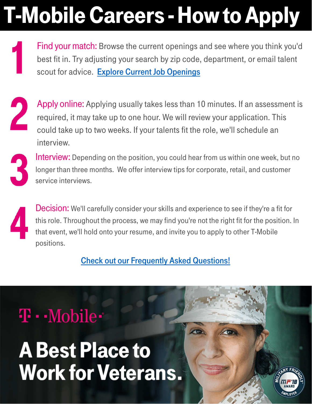# T-Mobile Careers -How to Apply

Find your match: Browse the current openings and see where you think you'd best fit in. Try adjusting your search by zip code, department, or email talent scout for advice. [Explore Current Job Openings](https://www.tmobile.careers/job-search?icid=WMM_TMNG_Q218CAREER_58ERNW8XUB913718)



Apply online: Applying usually takes less than 10 minutes. If an assessment is required, it may take up to one hour. We will review your application. This could take up to two weeks. If your talents fit the role, we'll schedule an interview.



Interview: Depending on the position, you could hear from us within one week, but no longer than three months. We offer interview tips for corporate, retail, and customer service interviews.

Decision: We'll carefully consider your skills and experience to see if they're a fit for this role. Throughout the process, we may find you're not the right fit for the position. In that event, we'll hold onto your resume, and invite you to apply to other T-Mobile positions.

[Check out our Frequently Asked Questions!](https://www.t-mobile.com/content/t-mobile/corporate/careers/for-applicants/faq.html)

## $\mathbf{T} \cdot \text{-Mobile}$

# **A Best Place to Work for Veterans.**

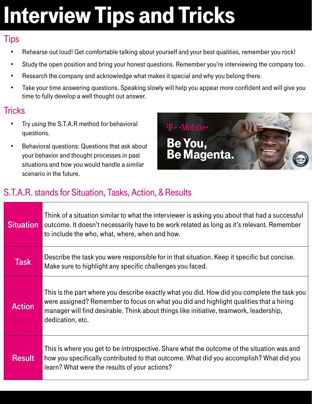# Interview Tips and Tricks

#### **Tips**

- Rehearse out loud! Get comfortable talking about yourself and your best qualities, remember you rock!
- Study the open position and bring your honest questions. Remember you're interviewing the company too.
- Research the company and acknowledge what makes it special and why you belong there.
- Take your time answering questions. Speaking slowly will help you appear more confident and will give you time to fully develop a well thought out answer.

### **Tricks**

- Try using the S.T.A.R method for behavioral questions.
- Behavioral questions: Questions that ask about your behavior and thought processes in past situations and how you would handle a similar scenario in the future.



### S.T.A.R. stands for Situation, Tasks, Action, & Results

| <b>Situation</b> | Think of a situation similar to what the interviewer is asking you about that had a successful<br>outcome. It doesn't necessarily have to be work related as long as it's relevant. Remember<br>to include the who, what, where, when and how.                                                      |
|------------------|-----------------------------------------------------------------------------------------------------------------------------------------------------------------------------------------------------------------------------------------------------------------------------------------------------|
| <b>Task</b>      | Describe the task you were responsible for in that situation. Keep it specific but concise.<br>Make sure to highlight any specific challenges you faced.                                                                                                                                            |
| <b>Action</b>    | This is the part where you describe exactly what you did. How did you complete the task you<br>were assigned? Remember to focus on what you did and highlight qualities that a hiring<br>manager will find desirable. Think about things like initiative, teamwork, leadership,<br>dedication, etc. |
| <b>Result</b>    | This is where you get to be introspective. Share what the outcome of the situation was and<br>how you specifically contributed to that outcome. What did you accomplish? What did you<br>learn? What were the results of your actions?                                                              |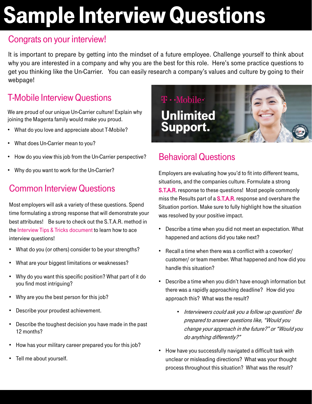# Sample Interview Questions

#### Congrats on your interview!

It is important to prepare by getting into the mindset of a future employee. Challenge yourself to think about why you are interested in a company and why you are the best for this role. Here's some practice questions to get you thinking like the Un-Carrier. You can easily research a company's values and culture by going to their webpage!

### T-Mobile InterviewQuestions

We are proud of our unique Un-Carrier culture! Explain why joining the Magenta family would make you proud.

- What do you love and appreciate about T-Mobile?
- What does Un-Carrier mean to you?
- How do you view this job from the Un-Carrier perspective?
- Why do you want to work for the Un-Carrier?

### **Common Interview Questions**

Most employers will ask a variety of these questions. Spend time formulating a strong response that will demonstrate your best attributes! Be sure to check out the S.T.A.R. method in the Interview Tips & Tricks document to learn how to ace interview questions!

- What do you (or others) consider to be your strengths?
- What are your biggest limitations or weaknesses?
- Why do you want this specific position? What part of it do you find most intriguing?
- Why are you the best person for this job?
- Describe your proudest achievement.
- Describe the toughest decision you have made in the past 12 months?
- How has your military career prepared you for this job?
- Tell me about yourself.



### **Behavioral Questions**

Employers are evaluating how you'd to fit into different teams, situations, and the companies culture. Formulate a strong **S.T.A.R.** response to these questions! Most people commonly miss the Results part of a **S.T.A.R.** response and overshare the Situation portion. Make sure to fully highlight how the situation was resolved by your positive impact.

- Describe a time when you did not meet an expectation. What happened and actions did you take next?
- Recall a time when there was a conflict with a coworker/ customer/ or team member. What happened and how did you handle this situation?
- Describe a time when you didn't have enough information but there was a rapidly approaching deadline? How did you approach this? What was the result?
	- Interviewers could ask you a follow up question! Be prepared to answer questions like, "Would you change your approach in the future?" or "Would you do anything differently?"
- How have you successfully navigated a difficult task with unclear or misleading directions? What was your thought process throughout this situation? What was the result?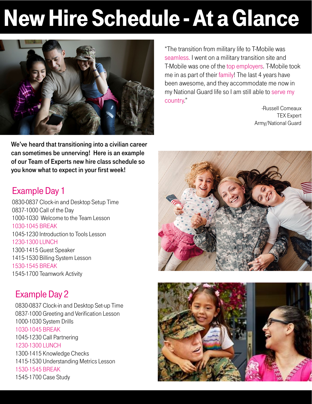# New Hire Schedule - At a Glance



We've heard that transitioning into a civilian career can sometimes be unnerving! Here is an example of our Team of Experts new hire class schedule so you know what to expect in your first week!

"The transition from military life to T-Mobile was seamless. I went on a military transition site and T-Mobile was one of the top employers. T-Mobile took me in as part of their family! The last 4 years have been awesome, and they accommodate me now in my National Guard life so I am still able to serve my country."

-Russell Comeaux TEX Expert Army/National Guard

#### Example Day 1

0830-0837 Clock-in and Desktop Setup Time 0837-1000 Call of the Day 1000-1030 Welcome to the Team Lesson 1030-1045 BREAK 1045-1230 Introduction to Tools Lesson 1230-1300 LUNCH 1300-1415 Guest Speaker 1415-1530 Billing System Lesson 1530-1545 BREAK 1545-1700 Teamwork Activity

#### Example Day 2

0830-0837 Clock-in and Desktop Set-up Time 0837-1000 Greeting and Verification Lesson 1000-1030 System Drills 1030-1045 BREAK 1045-1230 Call Partnering 1230-1300 LUNCH 1300-1415 Knowledge Checks 1415-1530 Understanding Metrics Lesson 1530-1545 BREAK 1545-1700 Case Study



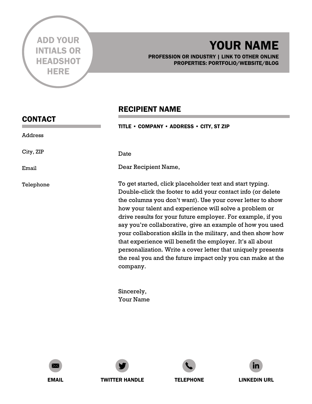

CONTACT

Address

City, ZIP

Telephone

Email

## YOUR NAME

PROFESSION OR INDUSTRY | LINK TO OTHER ONLINE PROPERTIES: PORTFOLIO/WEBSITE/BLOG

#### RECIPIENT NAME

TITLE • COMPANY • ADDRESS • CITY, ST ZIP

Date

Dear Recipient Name,

To get started, click placeholder text and start typing. Double-click the footer to add your contact info (or delete the columns you don't want). Use your cover letter to show how your talent and experience will solve a problem or drive results for your future employer. For example, if you say you're collaborative, give an example of how you used your collaboration skills in the military, and then show how that experience will benefit the employer. It's all about personalization. Write a cover letter that uniquely presents the real you and the future impact only you can make at the company.

Sincerely, Your Name









EMAIL TWITTER HANDLE TELEPHONE LINKEDIN URL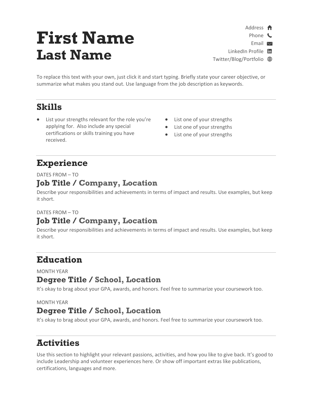## **First Name Last Name**

- Address <del>n</del>
	- Phone **C**

Email  $\blacksquare$ 

LinkedIn Profile in

Twitter/Blog/Portfolio

To replace this text with your own, just click it and start typing. Briefly state your career objective, or summarize what makes you stand out. Use language from the job description as keywords.

#### **Skills**

- List your strengths relevant for the role you're applying for. Also include any special certifications or skills training you have received.
- List one of your strengths
- List one of your strengths
- List one of your strengths

#### **Experience**

DATES FROM – TO

#### **Job Title / Company, Location**

Describe your responsibilities and achievements in terms of impact and results. Use examples, but keep it short.

#### DATES FROM – TO

#### **Job Title / Company, Location**

Describe your responsibilities and achievements in terms of impact and results. Use examples, but keep it short.

#### **Education**

MONTH YEAR

#### **Degree Title / School, Location**

It's okay to brag about your GPA, awards, and honors. Feel free to summarize your coursework too.

MONTH YEAR

#### **Degree Title / School, Location**

It's okay to brag about your GPA, awards, and honors. Feel free to summarize your coursework too.

#### **Activities**

Use this section to highlight your relevant passions, activities, and how you like to give back. It's good to include Leadership and volunteer experiences here. Or show off important extras like publications, certifications, languages and more.